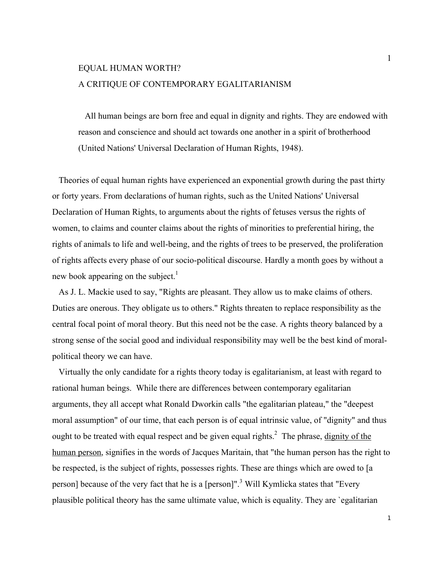# EQUAL HUMAN WORTH? A CRITIQUE OF CONTEMPORARY EGALITARIANISM

 All human beings are born free and equal in dignity and rights. They are endowed with reason and conscience and should act towards one another in a spirit of brotherhood (United Nations' Universal Declaration of Human Rights, 1948).

 Theories of equal human rights have experienced an exponential growth during the past thirty or forty years. From declarations of human rights, such as the United Nations' Universal Declaration of Human Rights, to arguments about the rights of fetuses versus the rights of women, to claims and counter claims about the rights of minorities to preferential hiring, the rights of animals to life and well-being, and the rights of trees to be preserved, the proliferation of rights affects every phase of our socio-political discourse. Hardly a month goes by without a new book appearing on the subject.<sup>1</sup>

 As J. L. Mackie used to say, "Rights are pleasant. They allow us to make claims of others. Duties are onerous. They obligate us to others." Rights threaten to replace responsibility as the central focal point of moral theory. But this need not be the case. A rights theory balanced by a strong sense of the social good and individual responsibility may well be the best kind of moralpolitical theory we can have.

 Virtually the only candidate for a rights theory today is egalitarianism, at least with regard to rational human beings. While there are differences between contemporary egalitarian arguments, they all accept what Ronald Dworkin calls "the egalitarian plateau," the "deepest moral assumption" of our time, that each person is of equal intrinsic value, of "dignity" and thus ought to be treated with equal respect and be given equal rights.<sup>2</sup> The phrase, dignity of the human person, signifies in the words of Jacques Maritain, that "the human person has the right to be respected, is the subject of rights, possesses rights. These are things which are owed to [a person] because of the very fact that he is a [person]".<sup>3</sup> Will Kymlicka states that "Every plausible political theory has the same ultimate value, which is equality. They are `egalitarian

1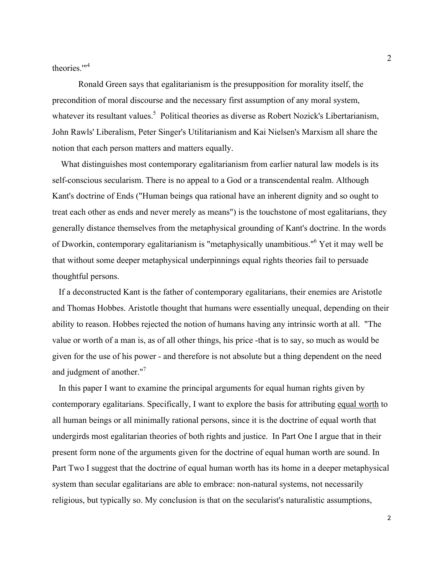theories.'"4

Ronald Green says that egalitarianism is the presupposition for morality itself, the precondition of moral discourse and the necessary first assumption of any moral system, whatever its resultant values.<sup>5</sup> Political theories as diverse as Robert Nozick's Libertarianism, John Rawls' Liberalism, Peter Singer's Utilitarianism and Kai Nielsen's Marxism all share the notion that each person matters and matters equally.

 What distinguishes most contemporary egalitarianism from earlier natural law models is its self-conscious secularism. There is no appeal to a God or a transcendental realm. Although Kant's doctrine of Ends ("Human beings qua rational have an inherent dignity and so ought to treat each other as ends and never merely as means") is the touchstone of most egalitarians, they generally distance themselves from the metaphysical grounding of Kant's doctrine. In the words of Dworkin, contemporary egalitarianism is "metaphysically unambitious."<sup>6</sup> Yet it may well be that without some deeper metaphysical underpinnings equal rights theories fail to persuade thoughtful persons.

 If a deconstructed Kant is the father of contemporary egalitarians, their enemies are Aristotle and Thomas Hobbes. Aristotle thought that humans were essentially unequal, depending on their ability to reason. Hobbes rejected the notion of humans having any intrinsic worth at all. "The value or worth of a man is, as of all other things, his price -that is to say, so much as would be given for the use of his power - and therefore is not absolute but a thing dependent on the need and judgment of another."<sup>7</sup>

In this paper I want to examine the principal arguments for equal human rights given by contemporary egalitarians. Specifically, I want to explore the basis for attributing equal worth to all human beings or all minimally rational persons, since it is the doctrine of equal worth that undergirds most egalitarian theories of both rights and justice. In Part One I argue that in their present form none of the arguments given for the doctrine of equal human worth are sound. In Part Two I suggest that the doctrine of equal human worth has its home in a deeper metaphysical system than secular egalitarians are able to embrace: non-natural systems, not necessarily religious, but typically so. My conclusion is that on the secularist's naturalistic assumptions,

2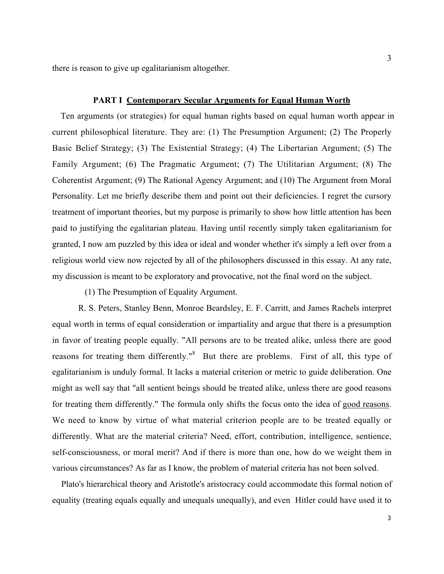there is reason to give up egalitarianism altogether.

#### **PART I Contemporary Secular Arguments for Equal Human Worth**

 Ten arguments (or strategies) for equal human rights based on equal human worth appear in current philosophical literature. They are: (1) The Presumption Argument; (2) The Properly Basic Belief Strategy; (3) The Existential Strategy; (4) The Libertarian Argument; (5) The Family Argument; (6) The Pragmatic Argument; (7) The Utilitarian Argument; (8) The Coherentist Argument; (9) The Rational Agency Argument; and (10) The Argument from Moral Personality. Let me briefly describe them and point out their deficiencies. I regret the cursory treatment of important theories, but my purpose is primarily to show how little attention has been paid to justifying the egalitarian plateau. Having until recently simply taken egalitarianism for granted, I now am puzzled by this idea or ideal and wonder whether it's simply a left over from a religious world view now rejected by all of the philosophers discussed in this essay. At any rate, my discussion is meant to be exploratory and provocative, not the final word on the subject.

(1) The Presumption of Equality Argument.

R. S. Peters, Stanley Benn, Monroe Beardsley, E. F. Carritt, and James Rachels interpret equal worth in terms of equal consideration or impartiality and argue that there is a presumption in favor of treating people equally. "All persons are to be treated alike, unless there are good reasons for treating them differently."<sup>8</sup> But there are problems. First of all, this type of egalitarianism is unduly formal. It lacks a material criterion or metric to guide deliberation. One might as well say that "all sentient beings should be treated alike, unless there are good reasons for treating them differently." The formula only shifts the focus onto the idea of good reasons. We need to know by virtue of what material criterion people are to be treated equally or differently. What are the material criteria? Need, effort, contribution, intelligence, sentience, self-consciousness, or moral merit? And if there is more than one, how do we weight them in various circumstances? As far as I know, the problem of material criteria has not been solved.

 Plato's hierarchical theory and Aristotle's aristocracy could accommodate this formal notion of equality (treating equals equally and unequals unequally), and even Hitler could have used it to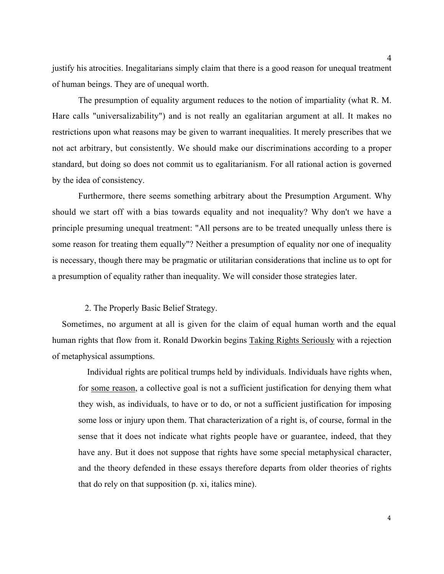justify his atrocities. Inegalitarians simply claim that there is a good reason for unequal treatment of human beings. They are of unequal worth.

The presumption of equality argument reduces to the notion of impartiality (what R. M. Hare calls "universalizability") and is not really an egalitarian argument at all. It makes no restrictions upon what reasons may be given to warrant inequalities. It merely prescribes that we not act arbitrary, but consistently. We should make our discriminations according to a proper standard, but doing so does not commit us to egalitarianism. For all rational action is governed by the idea of consistency.

Furthermore, there seems something arbitrary about the Presumption Argument. Why should we start off with a bias towards equality and not inequality? Why don't we have a principle presuming unequal treatment: "All persons are to be treated unequally unless there is some reason for treating them equally"? Neither a presumption of equality nor one of inequality is necessary, though there may be pragmatic or utilitarian considerations that incline us to opt for a presumption of equality rather than inequality. We will consider those strategies later.

#### 2. The Properly Basic Belief Strategy.

 Sometimes, no argument at all is given for the claim of equal human worth and the equal human rights that flow from it. Ronald Dworkin begins Taking Rights Seriously with a rejection of metaphysical assumptions.

 Individual rights are political trumps held by individuals. Individuals have rights when, for some reason, a collective goal is not a sufficient justification for denying them what they wish, as individuals, to have or to do, or not a sufficient justification for imposing some loss or injury upon them. That characterization of a right is, of course, formal in the sense that it does not indicate what rights people have or guarantee, indeed, that they have any. But it does not suppose that rights have some special metaphysical character, and the theory defended in these essays therefore departs from older theories of rights that do rely on that supposition (p. xi, italics mine).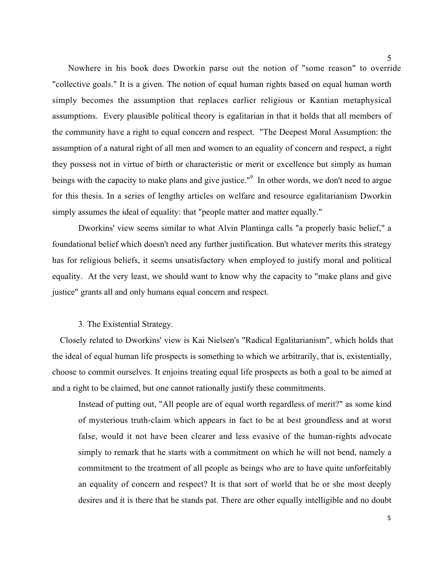Nowhere in his book does Dworkin parse out the notion of "some reason" to override "collective goals." It is a given. The notion of equal human rights based on equal human worth simply becomes the assumption that replaces earlier religious or Kantian metaphysical

assumptions. Every plausible political theory is egalitarian in that it holds that all members of the community have a right to equal concern and respect. "The Deepest Moral Assumption: the assumption of a natural right of all men and women to an equality of concern and respect, a right they possess not in virtue of birth or characteristic or merit or excellence but simply as human beings with the capacity to make plans and give justice."<sup>9</sup> In other words, we don't need to argue for this thesis. In a series of lengthy articles on welfare and resource egalitarianism Dworkin simply assumes the ideal of equality: that "people matter and matter equally."

Dworkins' view seems similar to what Alvin Plantinga calls "a properly basic belief," a foundational belief which doesn't need any further justification. But whatever merits this strategy has for religious beliefs, it seems unsatisfactory when employed to justify moral and political equality. At the very least, we should want to know why the capacity to "make plans and give justice" grants all and only humans equal concern and respect.

# 3. The Existential Strategy.

 Closely related to Dworkins' view is Kai Nielsen's "Radical Egalitarianism", which holds that the ideal of equal human life prospects is something to which we arbitrarily, that is, existentially, choose to commit ourselves. It enjoins treating equal life prospects as both a goal to be aimed at and a right to be claimed, but one cannot rationally justify these commitments.

Instead of putting out, "All people are of equal worth regardless of merit?" as some kind of mysterious truth-claim which appears in fact to be at best groundless and at worst false, would it not have been clearer and less evasive of the human-rights advocate simply to remark that he starts with a commitment on which he will not bend, namely a commitment to the treatment of all people as beings who are to have quite unforfeitably an equality of concern and respect? It is that sort of world that he or she most deeply desires and it is there that he stands pat. There are other equally intelligible and no doubt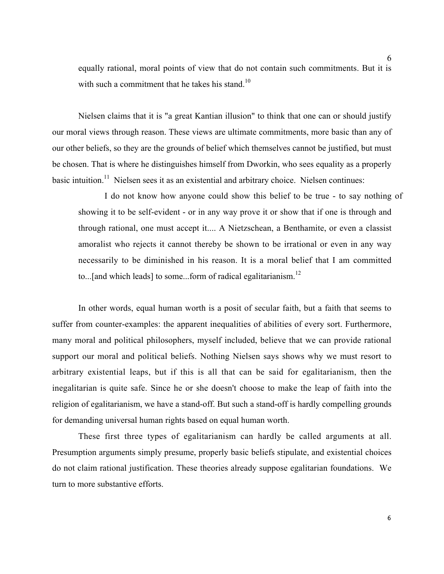equally rational, moral points of view that do not contain such commitments. But it is with such a commitment that he takes his stand.<sup>10</sup>

Nielsen claims that it is "a great Kantian illusion" to think that one can or should justify our moral views through reason. These views are ultimate commitments, more basic than any of our other beliefs, so they are the grounds of belief which themselves cannot be justified, but must be chosen. That is where he distinguishes himself from Dworkin, who sees equality as a properly basic intuition.<sup>11</sup> Nielsen sees it as an existential and arbitrary choice. Nielsen continues:

 I do not know how anyone could show this belief to be true - to say nothing of showing it to be self-evident - or in any way prove it or show that if one is through and through rational, one must accept it.... A Nietzschean, a Benthamite, or even a classist amoralist who rejects it cannot thereby be shown to be irrational or even in any way necessarily to be diminished in his reason. It is a moral belief that I am committed to...[and which leads] to some...form of radical egalitarianism.<sup>12</sup>

In other words, equal human worth is a posit of secular faith, but a faith that seems to suffer from counter-examples: the apparent inequalities of abilities of every sort. Furthermore, many moral and political philosophers, myself included, believe that we can provide rational support our moral and political beliefs. Nothing Nielsen says shows why we must resort to arbitrary existential leaps, but if this is all that can be said for egalitarianism, then the inegalitarian is quite safe. Since he or she doesn't choose to make the leap of faith into the religion of egalitarianism, we have a stand-off. But such a stand-off is hardly compelling grounds for demanding universal human rights based on equal human worth.

These first three types of egalitarianism can hardly be called arguments at all. Presumption arguments simply presume, properly basic beliefs stipulate, and existential choices do not claim rational justification. These theories already suppose egalitarian foundations. We turn to more substantive efforts.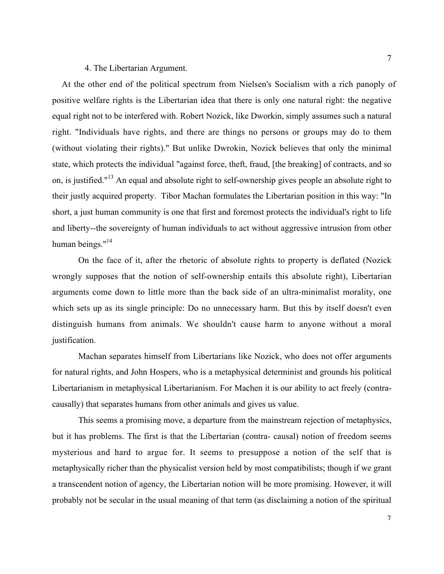#### 4. The Libertarian Argument.

 At the other end of the political spectrum from Nielsen's Socialism with a rich panoply of positive welfare rights is the Libertarian idea that there is only one natural right: the negative equal right not to be interfered with. Robert Nozick, like Dworkin, simply assumes such a natural right. "Individuals have rights, and there are things no persons or groups may do to them (without violating their rights)." But unlike Dwrokin, Nozick believes that only the minimal state, which protects the individual "against force, theft, fraud, [the breaking] of contracts, and so on, is justified."<sup>13</sup> An equal and absolute right to self-ownership gives people an absolute right to their justly acquired property. Tibor Machan formulates the Libertarian position in this way: "In short, a just human community is one that first and foremost protects the individual's right to life and liberty--the sovereignty of human individuals to act without aggressive intrusion from other human beings. $14$ 

On the face of it, after the rhetoric of absolute rights to property is deflated (Nozick wrongly supposes that the notion of self-ownership entails this absolute right), Libertarian arguments come down to little more than the back side of an ultra-minimalist morality, one which sets up as its single principle: Do no unnecessary harm. But this by itself doesn't even distinguish humans from animals. We shouldn't cause harm to anyone without a moral justification.

Machan separates himself from Libertarians like Nozick, who does not offer arguments for natural rights, and John Hospers, who is a metaphysical determinist and grounds his political Libertarianism in metaphysical Libertarianism. For Machen it is our ability to act freely (contracausally) that separates humans from other animals and gives us value.

This seems a promising move, a departure from the mainstream rejection of metaphysics, but it has problems. The first is that the Libertarian (contra- causal) notion of freedom seems mysterious and hard to argue for. It seems to presuppose a notion of the self that is metaphysically richer than the physicalist version held by most compatibilists; though if we grant a transcendent notion of agency, the Libertarian notion will be more promising. However, it will probably not be secular in the usual meaning of that term (as disclaiming a notion of the spiritual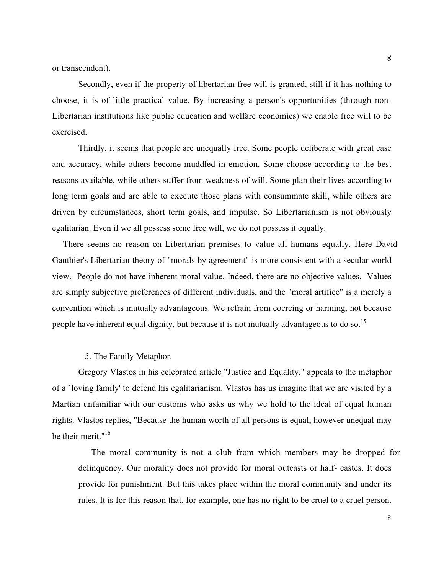or transcendent).

Secondly, even if the property of libertarian free will is granted, still if it has nothing to choose, it is of little practical value. By increasing a person's opportunities (through non-Libertarian institutions like public education and welfare economics) we enable free will to be exercised.

Thirdly, it seems that people are unequally free. Some people deliberate with great ease and accuracy, while others become muddled in emotion. Some choose according to the best reasons available, while others suffer from weakness of will. Some plan their lives according to long term goals and are able to execute those plans with consummate skill, while others are driven by circumstances, short term goals, and impulse. So Libertarianism is not obviously egalitarian. Even if we all possess some free will, we do not possess it equally.

 There seems no reason on Libertarian premises to value all humans equally. Here David Gauthier's Libertarian theory of "morals by agreement" is more consistent with a secular world view. People do not have inherent moral value. Indeed, there are no objective values. Values are simply subjective preferences of different individuals, and the "moral artifice" is a merely a convention which is mutually advantageous. We refrain from coercing or harming, not because people have inherent equal dignity, but because it is not mutually advantageous to do so.<sup>15</sup>

5. The Family Metaphor.

Gregory Vlastos in his celebrated article "Justice and Equality," appeals to the metaphor of a `loving family' to defend his egalitarianism. Vlastos has us imagine that we are visited by a Martian unfamiliar with our customs who asks us why we hold to the ideal of equal human rights. Vlastos replies, "Because the human worth of all persons is equal, however unequal may be their merit."<sup>16</sup>

 The moral community is not a club from which members may be dropped for delinquency. Our morality does not provide for moral outcasts or half- castes. It does provide for punishment. But this takes place within the moral community and under its rules. It is for this reason that, for example, one has no right to be cruel to a cruel person.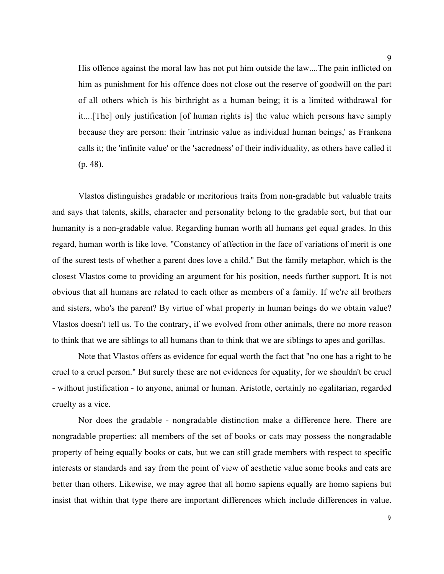His offence against the moral law has not put him outside the law....The pain inflicted on him as punishment for his offence does not close out the reserve of goodwill on the part of all others which is his birthright as a human being; it is a limited withdrawal for it....[The] only justification [of human rights is] the value which persons have simply because they are person: their 'intrinsic value as individual human beings,' as Frankena calls it; the 'infinite value' or the 'sacredness' of their individuality, as others have called it (p. 48).

Vlastos distinguishes gradable or meritorious traits from non-gradable but valuable traits and says that talents, skills, character and personality belong to the gradable sort, but that our humanity is a non-gradable value. Regarding human worth all humans get equal grades. In this regard, human worth is like love. "Constancy of affection in the face of variations of merit is one of the surest tests of whether a parent does love a child." But the family metaphor, which is the closest Vlastos come to providing an argument for his position, needs further support. It is not obvious that all humans are related to each other as members of a family. If we're all brothers and sisters, who's the parent? By virtue of what property in human beings do we obtain value? Vlastos doesn't tell us. To the contrary, if we evolved from other animals, there no more reason to think that we are siblings to all humans than to think that we are siblings to apes and gorillas.

Note that Vlastos offers as evidence for equal worth the fact that "no one has a right to be cruel to a cruel person." But surely these are not evidences for equality, for we shouldn't be cruel - without justification - to anyone, animal or human. Aristotle, certainly no egalitarian, regarded cruelty as a vice.

Nor does the gradable - nongradable distinction make a difference here. There are nongradable properties: all members of the set of books or cats may possess the nongradable property of being equally books or cats, but we can still grade members with respect to specific interests or standards and say from the point of view of aesthetic value some books and cats are better than others. Likewise, we may agree that all homo sapiens equally are homo sapiens but insist that within that type there are important differences which include differences in value.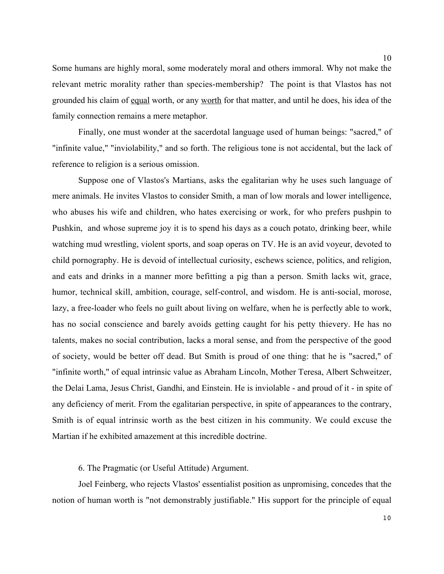Some humans are highly moral, some moderately moral and others immoral. Why not make the relevant metric morality rather than species-membership? The point is that Vlastos has not grounded his claim of equal worth, or any worth for that matter, and until he does, his idea of the family connection remains a mere metaphor.

Finally, one must wonder at the sacerdotal language used of human beings: "sacred," of "infinite value," "inviolability," and so forth. The religious tone is not accidental, but the lack of reference to religion is a serious omission.

Suppose one of Vlastos's Martians, asks the egalitarian why he uses such language of mere animals. He invites Vlastos to consider Smith, a man of low morals and lower intelligence, who abuses his wife and children, who hates exercising or work, for who prefers pushpin to Pushkin, and whose supreme joy it is to spend his days as a couch potato, drinking beer, while watching mud wrestling, violent sports, and soap operas on TV. He is an avid voyeur, devoted to child pornography. He is devoid of intellectual curiosity, eschews science, politics, and religion, and eats and drinks in a manner more befitting a pig than a person. Smith lacks wit, grace, humor, technical skill, ambition, courage, self-control, and wisdom. He is anti-social, morose, lazy, a free-loader who feels no guilt about living on welfare, when he is perfectly able to work, has no social conscience and barely avoids getting caught for his petty thievery. He has no talents, makes no social contribution, lacks a moral sense, and from the perspective of the good of society, would be better off dead. But Smith is proud of one thing: that he is "sacred," of "infinite worth," of equal intrinsic value as Abraham Lincoln, Mother Teresa, Albert Schweitzer, the Delai Lama, Jesus Christ, Gandhi, and Einstein. He is inviolable - and proud of it - in spite of any deficiency of merit. From the egalitarian perspective, in spite of appearances to the contrary, Smith is of equal intrinsic worth as the best citizen in his community. We could excuse the Martian if he exhibited amazement at this incredible doctrine.

### 6. The Pragmatic (or Useful Attitude) Argument.

Joel Feinberg, who rejects Vlastos' essentialist position as unpromising, concedes that the notion of human worth is "not demonstrably justifiable." His support for the principle of equal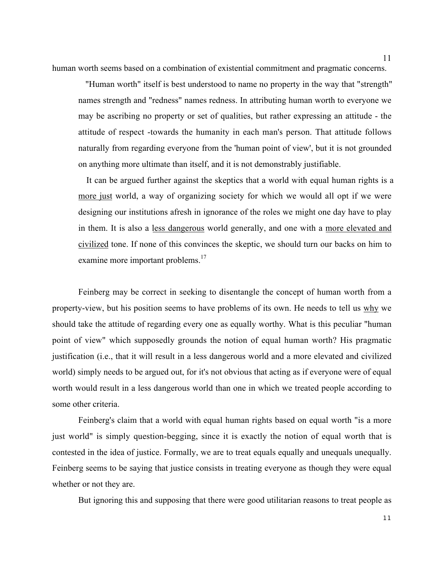human worth seems based on a combination of existential commitment and pragmatic concerns.

 "Human worth" itself is best understood to name no property in the way that "strength" names strength and "redness" names redness. In attributing human worth to everyone we may be ascribing no property or set of qualities, but rather expressing an attitude - the attitude of respect -towards the humanity in each man's person. That attitude follows naturally from regarding everyone from the 'human point of view', but it is not grounded on anything more ultimate than itself, and it is not demonstrably justifiable.

 It can be argued further against the skeptics that a world with equal human rights is a more just world, a way of organizing society for which we would all opt if we were designing our institutions afresh in ignorance of the roles we might one day have to play in them. It is also a less dangerous world generally, and one with a more elevated and civilized tone. If none of this convinces the skeptic, we should turn our backs on him to examine more important problems.<sup>17</sup>

Feinberg may be correct in seeking to disentangle the concept of human worth from a property-view, but his position seems to have problems of its own. He needs to tell us why we should take the attitude of regarding every one as equally worthy. What is this peculiar "human point of view" which supposedly grounds the notion of equal human worth? His pragmatic justification (i.e., that it will result in a less dangerous world and a more elevated and civilized world) simply needs to be argued out, for it's not obvious that acting as if everyone were of equal worth would result in a less dangerous world than one in which we treated people according to some other criteria.

Feinberg's claim that a world with equal human rights based on equal worth "is a more just world" is simply question-begging, since it is exactly the notion of equal worth that is contested in the idea of justice. Formally, we are to treat equals equally and unequals unequally. Feinberg seems to be saying that justice consists in treating everyone as though they were equal whether or not they are.

But ignoring this and supposing that there were good utilitarian reasons to treat people as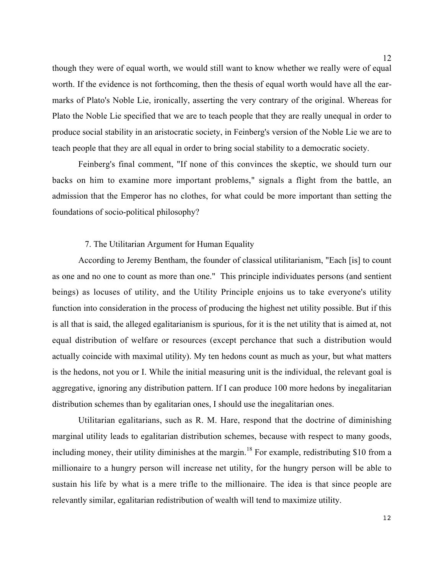though they were of equal worth, we would still want to know whether we really were of equal worth. If the evidence is not forthcoming, then the thesis of equal worth would have all the earmarks of Plato's Noble Lie, ironically, asserting the very contrary of the original. Whereas for Plato the Noble Lie specified that we are to teach people that they are really unequal in order to produce social stability in an aristocratic society, in Feinberg's version of the Noble Lie we are to teach people that they are all equal in order to bring social stability to a democratic society.

Feinberg's final comment, "If none of this convinces the skeptic, we should turn our backs on him to examine more important problems," signals a flight from the battle, an admission that the Emperor has no clothes, for what could be more important than setting the foundations of socio-political philosophy?

### 7. The Utilitarian Argument for Human Equality

According to Jeremy Bentham, the founder of classical utilitarianism, "Each [is] to count as one and no one to count as more than one." This principle individuates persons (and sentient beings) as locuses of utility, and the Utility Principle enjoins us to take everyone's utility function into consideration in the process of producing the highest net utility possible. But if this is all that is said, the alleged egalitarianism is spurious, for it is the net utility that is aimed at, not equal distribution of welfare or resources (except perchance that such a distribution would actually coincide with maximal utility). My ten hedons count as much as your, but what matters is the hedons, not you or I. While the initial measuring unit is the individual, the relevant goal is aggregative, ignoring any distribution pattern. If I can produce 100 more hedons by inegalitarian distribution schemes than by egalitarian ones, I should use the inegalitarian ones.

Utilitarian egalitarians, such as R. M. Hare, respond that the doctrine of diminishing marginal utility leads to egalitarian distribution schemes, because with respect to many goods, including money, their utility diminishes at the margin.<sup>18</sup> For example, redistributing \$10 from a millionaire to a hungry person will increase net utility, for the hungry person will be able to sustain his life by what is a mere trifle to the millionaire. The idea is that since people are relevantly similar, egalitarian redistribution of wealth will tend to maximize utility.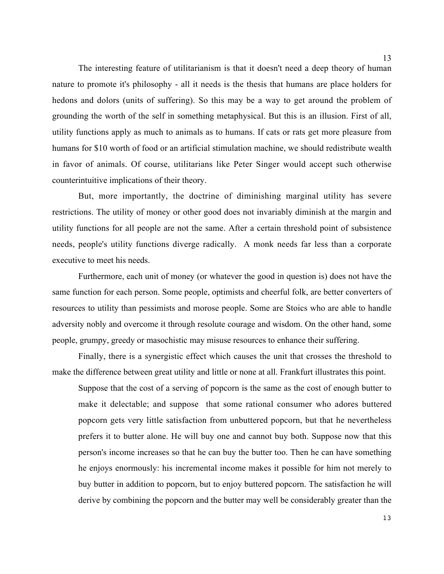The interesting feature of utilitarianism is that it doesn't need a deep theory of human nature to promote it's philosophy - all it needs is the thesis that humans are place holders for hedons and dolors (units of suffering). So this may be a way to get around the problem of grounding the worth of the self in something metaphysical. But this is an illusion. First of all, utility functions apply as much to animals as to humans. If cats or rats get more pleasure from humans for \$10 worth of food or an artificial stimulation machine, we should redistribute wealth in favor of animals. Of course, utilitarians like Peter Singer would accept such otherwise counterintuitive implications of their theory.

But, more importantly, the doctrine of diminishing marginal utility has severe restrictions. The utility of money or other good does not invariably diminish at the margin and utility functions for all people are not the same. After a certain threshold point of subsistence needs, people's utility functions diverge radically. A monk needs far less than a corporate executive to meet his needs.

Furthermore, each unit of money (or whatever the good in question is) does not have the same function for each person. Some people, optimists and cheerful folk, are better converters of resources to utility than pessimists and morose people. Some are Stoics who are able to handle adversity nobly and overcome it through resolute courage and wisdom. On the other hand, some people, grumpy, greedy or masochistic may misuse resources to enhance their suffering.

Finally, there is a synergistic effect which causes the unit that crosses the threshold to make the difference between great utility and little or none at all. Frankfurt illustrates this point.

Suppose that the cost of a serving of popcorn is the same as the cost of enough butter to make it delectable; and suppose that some rational consumer who adores buttered popcorn gets very little satisfaction from unbuttered popcorn, but that he nevertheless prefers it to butter alone. He will buy one and cannot buy both. Suppose now that this person's income increases so that he can buy the butter too. Then he can have something he enjoys enormously: his incremental income makes it possible for him not merely to buy butter in addition to popcorn, but to enjoy buttered popcorn. The satisfaction he will derive by combining the popcorn and the butter may well be considerably greater than the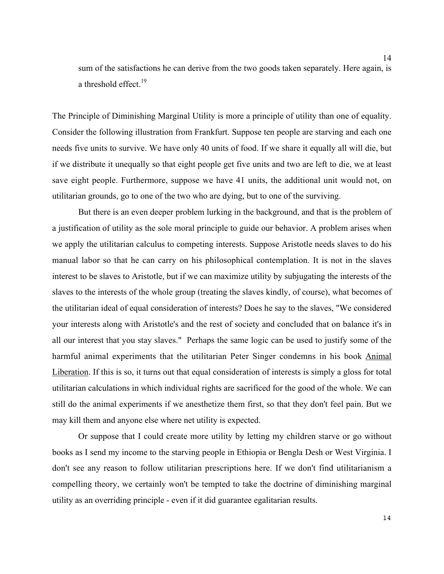sum of the satisfactions he can derive from the two goods taken separately. Here again, is a threshold effect.<sup>19</sup>

The Principle of Diminishing Marginal Utility is more a principle of utility than one of equality. Consider the following illustration from Frankfurt. Suppose ten people are starving and each one needs five units to survive. We have only 40 units of food. If we share it equally all will die, but if we distribute it unequally so that eight people get five units and two are left to die, we at least save eight people. Furthermore, suppose we have 41 units, the additional unit would not, on utilitarian grounds, go to one of the two who are dying, but to one of the surviving.

But there is an even deeper problem lurking in the background, and that is the problem of a justification of utility as the sole moral principle to guide our behavior. A problem arises when we apply the utilitarian calculus to competing interests. Suppose Aristotle needs slaves to do his manual labor so that he can carry on his philosophical contemplation. It is not in the slaves interest to be slaves to Aristotle, but if we can maximize utility by subjugating the interests of the slaves to the interests of the whole group (treating the slaves kindly, of course), what becomes of the utilitarian ideal of equal consideration of interests? Does he say to the slaves, "We considered your interests along with Aristotle's and the rest of society and concluded that on balance it's in all our interest that you stay slaves." Perhaps the same logic can be used to justify some of the harmful animal experiments that the utilitarian Peter Singer condemns in his book Animal Liberation. If this is so, it turns out that equal consideration of interests is simply a gloss for total utilitarian calculations in which individual rights are sacrificed for the good of the whole. We can still do the animal experiments if we anesthetize them first, so that they don't feel pain. But we may kill them and anyone else where net utility is expected.

Or suppose that I could create more utility by letting my children starve or go without books as I send my income to the starving people in Ethiopia or Bengla Desh or West Virginia. I don't see any reason to follow utilitarian prescriptions here. If we don't find utilitarianism a compelling theory, we certainly won't be tempted to take the doctrine of diminishing marginal utility as an overriding principle - even if it did guarantee egalitarian results.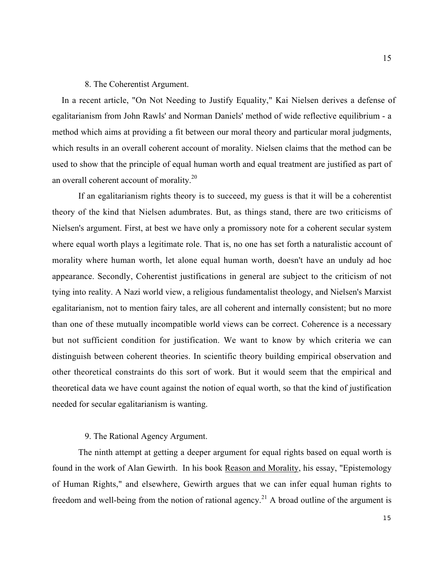### 8. The Coherentist Argument.

 In a recent article, "On Not Needing to Justify Equality," Kai Nielsen derives a defense of egalitarianism from John Rawls' and Norman Daniels' method of wide reflective equilibrium - a method which aims at providing a fit between our moral theory and particular moral judgments, which results in an overall coherent account of morality. Nielsen claims that the method can be used to show that the principle of equal human worth and equal treatment are justified as part of an overall coherent account of morality.<sup>20</sup>

If an egalitarianism rights theory is to succeed, my guess is that it will be a coherentist theory of the kind that Nielsen adumbrates. But, as things stand, there are two criticisms of Nielsen's argument. First, at best we have only a promissory note for a coherent secular system where equal worth plays a legitimate role. That is, no one has set forth a naturalistic account of morality where human worth, let alone equal human worth, doesn't have an unduly ad hoc appearance. Secondly, Coherentist justifications in general are subject to the criticism of not tying into reality. A Nazi world view, a religious fundamentalist theology, and Nielsen's Marxist egalitarianism, not to mention fairy tales, are all coherent and internally consistent; but no more than one of these mutually incompatible world views can be correct. Coherence is a necessary but not sufficient condition for justification. We want to know by which criteria we can distinguish between coherent theories. In scientific theory building empirical observation and other theoretical constraints do this sort of work. But it would seem that the empirical and theoretical data we have count against the notion of equal worth, so that the kind of justification needed for secular egalitarianism is wanting.

### 9. The Rational Agency Argument.

The ninth attempt at getting a deeper argument for equal rights based on equal worth is found in the work of Alan Gewirth. In his book Reason and Morality, his essay, "Epistemology of Human Rights," and elsewhere, Gewirth argues that we can infer equal human rights to freedom and well-being from the notion of rational agency.<sup>21</sup> A broad outline of the argument is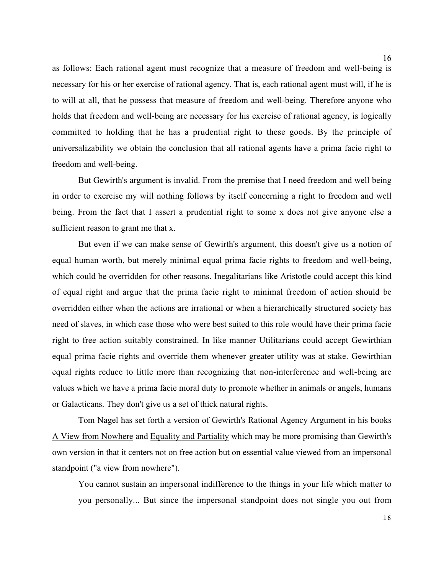as follows: Each rational agent must recognize that a measure of freedom and well-being is necessary for his or her exercise of rational agency. That is, each rational agent must will, if he is to will at all, that he possess that measure of freedom and well-being. Therefore anyone who holds that freedom and well-being are necessary for his exercise of rational agency, is logically committed to holding that he has a prudential right to these goods. By the principle of universalizability we obtain the conclusion that all rational agents have a prima facie right to freedom and well-being.

But Gewirth's argument is invalid. From the premise that I need freedom and well being in order to exercise my will nothing follows by itself concerning a right to freedom and well being. From the fact that I assert a prudential right to some x does not give anyone else a sufficient reason to grant me that x.

But even if we can make sense of Gewirth's argument, this doesn't give us a notion of equal human worth, but merely minimal equal prima facie rights to freedom and well-being, which could be overridden for other reasons. Inegalitarians like Aristotle could accept this kind of equal right and argue that the prima facie right to minimal freedom of action should be overridden either when the actions are irrational or when a hierarchically structured society has need of slaves, in which case those who were best suited to this role would have their prima facie right to free action suitably constrained. In like manner Utilitarians could accept Gewirthian equal prima facie rights and override them whenever greater utility was at stake. Gewirthian equal rights reduce to little more than recognizing that non-interference and well-being are values which we have a prima facie moral duty to promote whether in animals or angels, humans or Galacticans. They don't give us a set of thick natural rights.

Tom Nagel has set forth a version of Gewirth's Rational Agency Argument in his books A View from Nowhere and Equality and Partiality which may be more promising than Gewirth's own version in that it centers not on free action but on essential value viewed from an impersonal standpoint ("a view from nowhere").

You cannot sustain an impersonal indifference to the things in your life which matter to you personally... But since the impersonal standpoint does not single you out from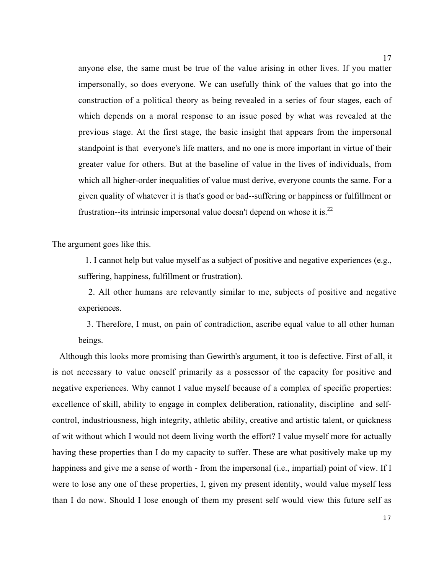anyone else, the same must be true of the value arising in other lives. If you matter impersonally, so does everyone. We can usefully think of the values that go into the construction of a political theory as being revealed in a series of four stages, each of which depends on a moral response to an issue posed by what was revealed at the previous stage. At the first stage, the basic insight that appears from the impersonal standpoint is that everyone's life matters, and no one is more important in virtue of their greater value for others. But at the baseline of value in the lives of individuals, from which all higher-order inequalities of value must derive, everyone counts the same. For a given quality of whatever it is that's good or bad--suffering or happiness or fulfillment or frustration--its intrinsic impersonal value doesn't depend on whose it is.<sup>22</sup>

The argument goes like this.

 1. I cannot help but value myself as a subject of positive and negative experiences (e.g., suffering, happiness, fulfillment or frustration).

 2. All other humans are relevantly similar to me, subjects of positive and negative experiences.

 3. Therefore, I must, on pain of contradiction, ascribe equal value to all other human beings.

 Although this looks more promising than Gewirth's argument, it too is defective. First of all, it is not necessary to value oneself primarily as a possessor of the capacity for positive and negative experiences. Why cannot I value myself because of a complex of specific properties: excellence of skill, ability to engage in complex deliberation, rationality, discipline and selfcontrol, industriousness, high integrity, athletic ability, creative and artistic talent, or quickness of wit without which I would not deem living worth the effort? I value myself more for actually having these properties than I do my capacity to suffer. These are what positively make up my happiness and give me a sense of worth - from the impersonal (i.e., impartial) point of view. If I were to lose any one of these properties, I, given my present identity, would value myself less than I do now. Should I lose enough of them my present self would view this future self as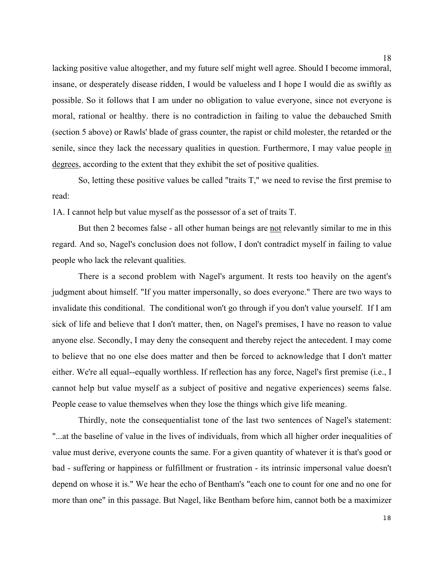lacking positive value altogether, and my future self might well agree. Should I become immoral, insane, or desperately disease ridden, I would be valueless and I hope I would die as swiftly as possible. So it follows that I am under no obligation to value everyone, since not everyone is moral, rational or healthy. there is no contradiction in failing to value the debauched Smith (section 5 above) or Rawls' blade of grass counter, the rapist or child molester, the retarded or the senile, since they lack the necessary qualities in question. Furthermore, I may value people in degrees, according to the extent that they exhibit the set of positive qualities.

So, letting these positive values be called "traits T," we need to revise the first premise to read:

1A. I cannot help but value myself as the possessor of a set of traits T.

But then 2 becomes false - all other human beings are not relevantly similar to me in this regard. And so, Nagel's conclusion does not follow, I don't contradict myself in failing to value people who lack the relevant qualities.

There is a second problem with Nagel's argument. It rests too heavily on the agent's judgment about himself. "If you matter impersonally, so does everyone." There are two ways to invalidate this conditional. The conditional won't go through if you don't value yourself. If I am sick of life and believe that I don't matter, then, on Nagel's premises, I have no reason to value anyone else. Secondly, I may deny the consequent and thereby reject the antecedent. I may come to believe that no one else does matter and then be forced to acknowledge that I don't matter either. We're all equal--equally worthless. If reflection has any force, Nagel's first premise (i.e., I cannot help but value myself as a subject of positive and negative experiences) seems false. People cease to value themselves when they lose the things which give life meaning.

Thirdly, note the consequentialist tone of the last two sentences of Nagel's statement: "...at the baseline of value in the lives of individuals, from which all higher order inequalities of value must derive, everyone counts the same. For a given quantity of whatever it is that's good or bad - suffering or happiness or fulfillment or frustration - its intrinsic impersonal value doesn't depend on whose it is." We hear the echo of Bentham's "each one to count for one and no one for more than one" in this passage. But Nagel, like Bentham before him, cannot both be a maximizer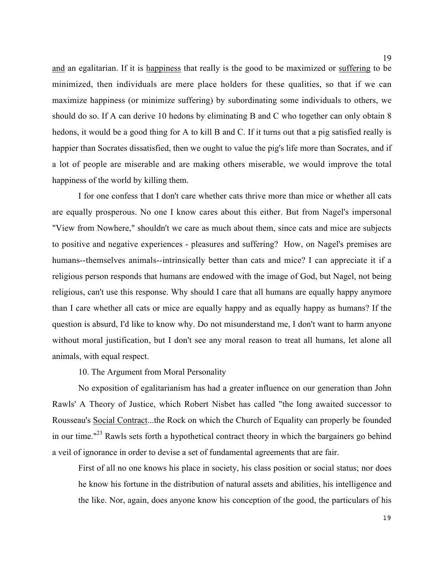and an egalitarian. If it is happiness that really is the good to be maximized or suffering to be minimized, then individuals are mere place holders for these qualities, so that if we can maximize happiness (or minimize suffering) by subordinating some individuals to others, we should do so. If A can derive 10 hedons by eliminating B and C who together can only obtain 8 hedons, it would be a good thing for A to kill B and C. If it turns out that a pig satisfied really is happier than Socrates dissatisfied, then we ought to value the pig's life more than Socrates, and if a lot of people are miserable and are making others miserable, we would improve the total happiness of the world by killing them.

I for one confess that I don't care whether cats thrive more than mice or whether all cats are equally prosperous. No one I know cares about this either. But from Nagel's impersonal "View from Nowhere," shouldn't we care as much about them, since cats and mice are subjects to positive and negative experiences - pleasures and suffering? How, on Nagel's premises are humans--themselves animals--intrinsically better than cats and mice? I can appreciate it if a religious person responds that humans are endowed with the image of God, but Nagel, not being religious, can't use this response. Why should I care that all humans are equally happy anymore than I care whether all cats or mice are equally happy and as equally happy as humans? If the question is absurd, I'd like to know why. Do not misunderstand me, I don't want to harm anyone without moral justification, but I don't see any moral reason to treat all humans, let alone all animals, with equal respect.

10. The Argument from Moral Personality

No exposition of egalitarianism has had a greater influence on our generation than John Rawls' A Theory of Justice, which Robert Nisbet has called "the long awaited successor to Rousseau's Social Contract...the Rock on which the Church of Equality can properly be founded in our time."23 Rawls sets forth a hypothetical contract theory in which the bargainers go behind a veil of ignorance in order to devise a set of fundamental agreements that are fair.

First of all no one knows his place in society, his class position or social status; nor does he know his fortune in the distribution of natural assets and abilities, his intelligence and the like. Nor, again, does anyone know his conception of the good, the particulars of his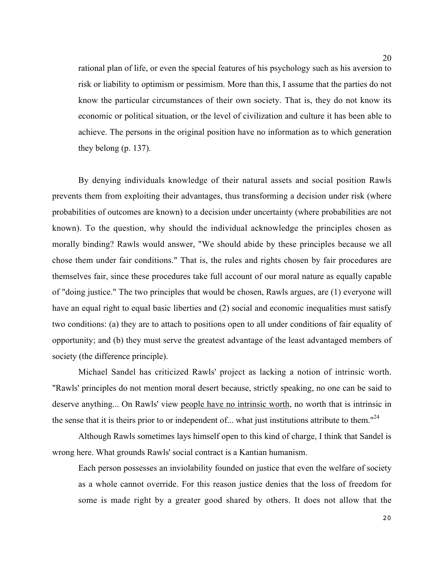rational plan of life, or even the special features of his psychology such as his aversion to risk or liability to optimism or pessimism. More than this, I assume that the parties do not know the particular circumstances of their own society. That is, they do not know its economic or political situation, or the level of civilization and culture it has been able to achieve. The persons in the original position have no information as to which generation they belong (p. 137).

By denying individuals knowledge of their natural assets and social position Rawls prevents them from exploiting their advantages, thus transforming a decision under risk (where probabilities of outcomes are known) to a decision under uncertainty (where probabilities are not known). To the question, why should the individual acknowledge the principles chosen as morally binding? Rawls would answer, "We should abide by these principles because we all chose them under fair conditions." That is, the rules and rights chosen by fair procedures are themselves fair, since these procedures take full account of our moral nature as equally capable of "doing justice." The two principles that would be chosen, Rawls argues, are (1) everyone will have an equal right to equal basic liberties and (2) social and economic inequalities must satisfy two conditions: (a) they are to attach to positions open to all under conditions of fair equality of opportunity; and (b) they must serve the greatest advantage of the least advantaged members of society (the difference principle).

Michael Sandel has criticized Rawls' project as lacking a notion of intrinsic worth. "Rawls' principles do not mention moral desert because, strictly speaking, no one can be said to deserve anything... On Rawls' view people have no intrinsic worth, no worth that is intrinsic in the sense that it is theirs prior to or independent of... what just institutions attribute to them."<sup>24</sup>

Although Rawls sometimes lays himself open to this kind of charge, I think that Sandel is wrong here. What grounds Rawls' social contract is a Kantian humanism.

Each person possesses an inviolability founded on justice that even the welfare of society as a whole cannot override. For this reason justice denies that the loss of freedom for some is made right by a greater good shared by others. It does not allow that the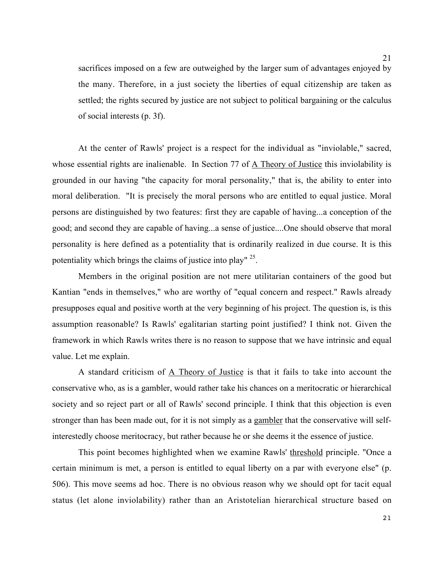sacrifices imposed on a few are outweighed by the larger sum of advantages enjoyed by the many. Therefore, in a just society the liberties of equal citizenship are taken as settled; the rights secured by justice are not subject to political bargaining or the calculus of social interests (p. 3f).

At the center of Rawls' project is a respect for the individual as "inviolable," sacred, whose essential rights are inalienable. In Section 77 of A Theory of Justice this inviolability is grounded in our having "the capacity for moral personality," that is, the ability to enter into moral deliberation. "It is precisely the moral persons who are entitled to equal justice. Moral persons are distinguished by two features: first they are capable of having...a conception of the good; and second they are capable of having...a sense of justice....One should observe that moral personality is here defined as a potentiality that is ordinarily realized in due course. It is this potentiality which brings the claims of justice into play" 25.

Members in the original position are not mere utilitarian containers of the good but Kantian "ends in themselves," who are worthy of "equal concern and respect." Rawls already presupposes equal and positive worth at the very beginning of his project. The question is, is this assumption reasonable? Is Rawls' egalitarian starting point justified? I think not. Given the framework in which Rawls writes there is no reason to suppose that we have intrinsic and equal value. Let me explain.

A standard criticism of A Theory of Justice is that it fails to take into account the conservative who, as is a gambler, would rather take his chances on a meritocratic or hierarchical society and so reject part or all of Rawls' second principle. I think that this objection is even stronger than has been made out, for it is not simply as a gambler that the conservative will selfinterestedly choose meritocracy, but rather because he or she deems it the essence of justice.

This point becomes highlighted when we examine Rawls' threshold principle. "Once a certain minimum is met, a person is entitled to equal liberty on a par with everyone else" (p. 506). This move seems ad hoc. There is no obvious reason why we should opt for tacit equal status (let alone inviolability) rather than an Aristotelian hierarchical structure based on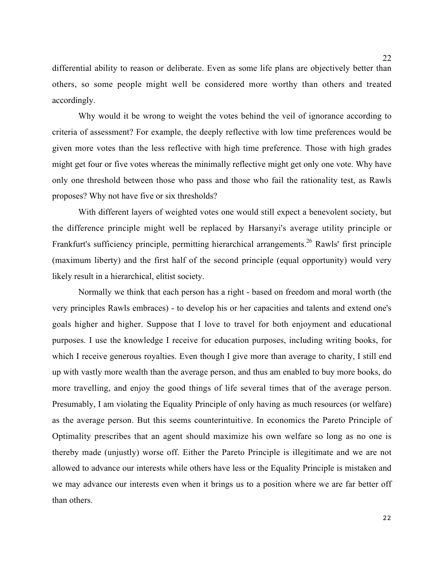differential ability to reason or deliberate. Even as some life plans are objectively better than others, so some people might well be considered more worthy than others and treated accordingly.

Why would it be wrong to weight the votes behind the veil of ignorance according to criteria of assessment? For example, the deeply reflective with low time preferences would be given more votes than the less reflective with high time preference. Those with high grades might get four or five votes whereas the minimally reflective might get only one vote. Why have only one threshold between those who pass and those who fail the rationality test, as Rawls proposes? Why not have five or six thresholds?

With different layers of weighted votes one would still expect a benevolent society, but the difference principle might well be replaced by Harsanyi's average utility principle or Frankfurt's sufficiency principle, permitting hierarchical arrangements.<sup>26</sup> Rawls' first principle (maximum liberty) and the first half of the second principle (equal opportunity) would very likely result in a hierarchical, elitist society.

Normally we think that each person has a right - based on freedom and moral worth (the very principles Rawls embraces) - to develop his or her capacities and talents and extend one's goals higher and higher. Suppose that I love to travel for both enjoyment and educational purposes. I use the knowledge I receive for education purposes, including writing books, for which I receive generous royalties. Even though I give more than average to charity, I still end up with vastly more wealth than the average person, and thus am enabled to buy more books, do more travelling, and enjoy the good things of life several times that of the average person. Presumably, I am violating the Equality Principle of only having as much resources (or welfare) as the average person. But this seems counterintuitive. In economics the Pareto Principle of Optimality prescribes that an agent should maximize his own welfare so long as no one is thereby made (unjustly) worse off. Either the Pareto Principle is illegitimate and we are not allowed to advance our interests while others have less or the Equality Principle is mistaken and we may advance our interests even when it brings us to a position where we are far better off than others.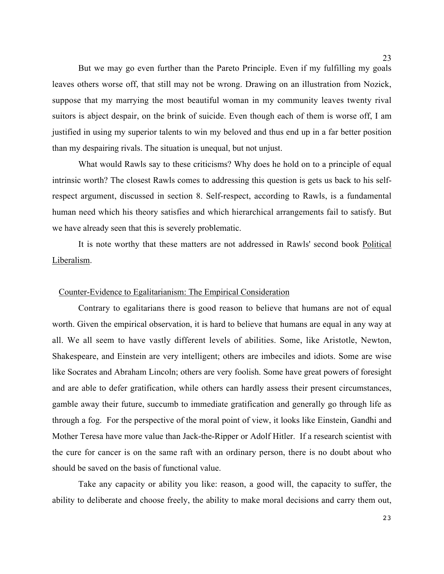But we may go even further than the Pareto Principle. Even if my fulfilling my goals leaves others worse off, that still may not be wrong. Drawing on an illustration from Nozick, suppose that my marrying the most beautiful woman in my community leaves twenty rival suitors is abject despair, on the brink of suicide. Even though each of them is worse off, I am justified in using my superior talents to win my beloved and thus end up in a far better position than my despairing rivals. The situation is unequal, but not unjust.

What would Rawls say to these criticisms? Why does he hold on to a principle of equal intrinsic worth? The closest Rawls comes to addressing this question is gets us back to his selfrespect argument, discussed in section 8. Self-respect, according to Rawls, is a fundamental human need which his theory satisfies and which hierarchical arrangements fail to satisfy. But we have already seen that this is severely problematic.

It is note worthy that these matters are not addressed in Rawls' second book Political Liberalism.

#### Counter-Evidence to Egalitarianism: The Empirical Consideration

Contrary to egalitarians there is good reason to believe that humans are not of equal worth. Given the empirical observation, it is hard to believe that humans are equal in any way at all. We all seem to have vastly different levels of abilities. Some, like Aristotle, Newton, Shakespeare, and Einstein are very intelligent; others are imbeciles and idiots. Some are wise like Socrates and Abraham Lincoln; others are very foolish. Some have great powers of foresight and are able to defer gratification, while others can hardly assess their present circumstances, gamble away their future, succumb to immediate gratification and generally go through life as through a fog. For the perspective of the moral point of view, it looks like Einstein, Gandhi and Mother Teresa have more value than Jack-the-Ripper or Adolf Hitler. If a research scientist with the cure for cancer is on the same raft with an ordinary person, there is no doubt about who should be saved on the basis of functional value.

Take any capacity or ability you like: reason, a good will, the capacity to suffer, the ability to deliberate and choose freely, the ability to make moral decisions and carry them out,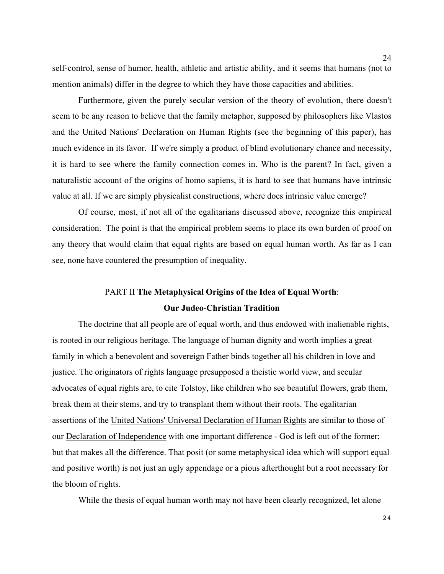self-control, sense of humor, health, athletic and artistic ability, and it seems that humans (not to mention animals) differ in the degree to which they have those capacities and abilities.

Furthermore, given the purely secular version of the theory of evolution, there doesn't seem to be any reason to believe that the family metaphor, supposed by philosophers like Vlastos and the United Nations' Declaration on Human Rights (see the beginning of this paper), has much evidence in its favor. If we're simply a product of blind evolutionary chance and necessity, it is hard to see where the family connection comes in. Who is the parent? In fact, given a naturalistic account of the origins of homo sapiens, it is hard to see that humans have intrinsic value at all. If we are simply physicalist constructions, where does intrinsic value emerge?

Of course, most, if not all of the egalitarians discussed above, recognize this empirical consideration. The point is that the empirical problem seems to place its own burden of proof on any theory that would claim that equal rights are based on equal human worth. As far as I can see, none have countered the presumption of inequality.

# PART II **The Metaphysical Origins of the Idea of Equal Worth**: **Our Judeo-Christian Tradition**

The doctrine that all people are of equal worth, and thus endowed with inalienable rights, is rooted in our religious heritage. The language of human dignity and worth implies a great family in which a benevolent and sovereign Father binds together all his children in love and justice. The originators of rights language presupposed a theistic world view, and secular advocates of equal rights are, to cite Tolstoy, like children who see beautiful flowers, grab them, break them at their stems, and try to transplant them without their roots. The egalitarian assertions of the United Nations' Universal Declaration of Human Rights are similar to those of our Declaration of Independence with one important difference - God is left out of the former; but that makes all the difference. That posit (or some metaphysical idea which will support equal and positive worth) is not just an ugly appendage or a pious afterthought but a root necessary for the bloom of rights.

While the thesis of equal human worth may not have been clearly recognized, let alone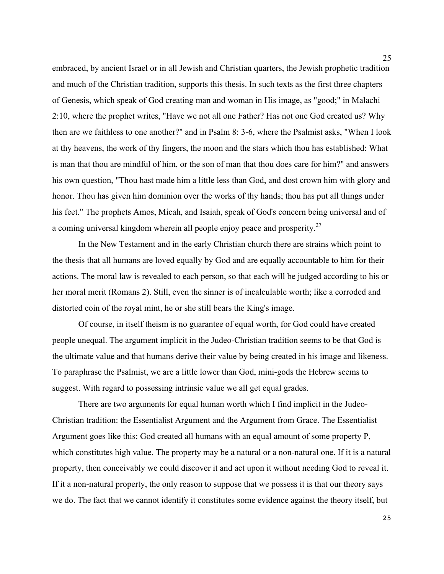embraced, by ancient Israel or in all Jewish and Christian quarters, the Jewish prophetic tradition and much of the Christian tradition, supports this thesis. In such texts as the first three chapters of Genesis, which speak of God creating man and woman in His image, as "good;" in Malachi 2:10, where the prophet writes, "Have we not all one Father? Has not one God created us? Why then are we faithless to one another?" and in Psalm 8: 3-6, where the Psalmist asks, "When I look at thy heavens, the work of thy fingers, the moon and the stars which thou has established: What is man that thou are mindful of him, or the son of man that thou does care for him?" and answers his own question, "Thou hast made him a little less than God, and dost crown him with glory and honor. Thou has given him dominion over the works of thy hands; thou has put all things under his feet." The prophets Amos, Micah, and Isaiah, speak of God's concern being universal and of a coming universal kingdom wherein all people enjoy peace and prosperity.<sup>27</sup>

In the New Testament and in the early Christian church there are strains which point to the thesis that all humans are loved equally by God and are equally accountable to him for their actions. The moral law is revealed to each person, so that each will be judged according to his or her moral merit (Romans 2). Still, even the sinner is of incalculable worth; like a corroded and distorted coin of the royal mint, he or she still bears the King's image.

Of course, in itself theism is no guarantee of equal worth, for God could have created people unequal. The argument implicit in the Judeo-Christian tradition seems to be that God is the ultimate value and that humans derive their value by being created in his image and likeness. To paraphrase the Psalmist, we are a little lower than God, mini-gods the Hebrew seems to suggest. With regard to possessing intrinsic value we all get equal grades.

There are two arguments for equal human worth which I find implicit in the Judeo-Christian tradition: the Essentialist Argument and the Argument from Grace. The Essentialist Argument goes like this: God created all humans with an equal amount of some property P, which constitutes high value. The property may be a natural or a non-natural one. If it is a natural property, then conceivably we could discover it and act upon it without needing God to reveal it. If it a non-natural property, the only reason to suppose that we possess it is that our theory says we do. The fact that we cannot identify it constitutes some evidence against the theory itself, but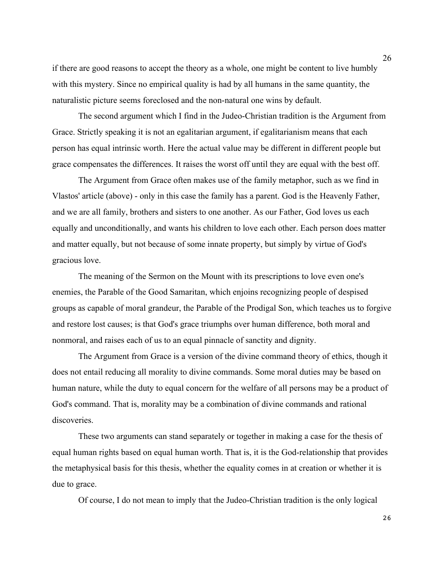if there are good reasons to accept the theory as a whole, one might be content to live humbly with this mystery. Since no empirical quality is had by all humans in the same quantity, the naturalistic picture seems foreclosed and the non-natural one wins by default.

The second argument which I find in the Judeo-Christian tradition is the Argument from Grace. Strictly speaking it is not an egalitarian argument, if egalitarianism means that each person has equal intrinsic worth. Here the actual value may be different in different people but grace compensates the differences. It raises the worst off until they are equal with the best off.

The Argument from Grace often makes use of the family metaphor, such as we find in Vlastos' article (above) - only in this case the family has a parent. God is the Heavenly Father, and we are all family, brothers and sisters to one another. As our Father, God loves us each equally and unconditionally, and wants his children to love each other. Each person does matter and matter equally, but not because of some innate property, but simply by virtue of God's gracious love.

The meaning of the Sermon on the Mount with its prescriptions to love even one's enemies, the Parable of the Good Samaritan, which enjoins recognizing people of despised groups as capable of moral grandeur, the Parable of the Prodigal Son, which teaches us to forgive and restore lost causes; is that God's grace triumphs over human difference, both moral and nonmoral, and raises each of us to an equal pinnacle of sanctity and dignity.

The Argument from Grace is a version of the divine command theory of ethics, though it does not entail reducing all morality to divine commands. Some moral duties may be based on human nature, while the duty to equal concern for the welfare of all persons may be a product of God's command. That is, morality may be a combination of divine commands and rational discoveries.

These two arguments can stand separately or together in making a case for the thesis of equal human rights based on equal human worth. That is, it is the God-relationship that provides the metaphysical basis for this thesis, whether the equality comes in at creation or whether it is due to grace.

Of course, I do not mean to imply that the Judeo-Christian tradition is the only logical

26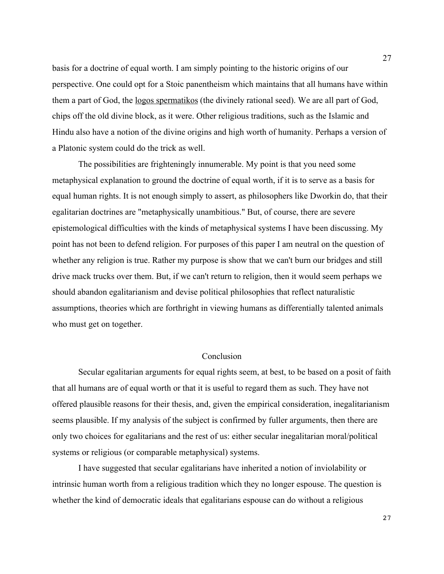basis for a doctrine of equal worth. I am simply pointing to the historic origins of our perspective. One could opt for a Stoic panentheism which maintains that all humans have within them a part of God, the logos spermatikos (the divinely rational seed). We are all part of God, chips off the old divine block, as it were. Other religious traditions, such as the Islamic and Hindu also have a notion of the divine origins and high worth of humanity. Perhaps a version of a Platonic system could do the trick as well.

The possibilities are frighteningly innumerable. My point is that you need some metaphysical explanation to ground the doctrine of equal worth, if it is to serve as a basis for equal human rights. It is not enough simply to assert, as philosophers like Dworkin do, that their egalitarian doctrines are "metaphysically unambitious." But, of course, there are severe epistemological difficulties with the kinds of metaphysical systems I have been discussing. My point has not been to defend religion. For purposes of this paper I am neutral on the question of whether any religion is true. Rather my purpose is show that we can't burn our bridges and still drive mack trucks over them. But, if we can't return to religion, then it would seem perhaps we should abandon egalitarianism and devise political philosophies that reflect naturalistic assumptions, theories which are forthright in viewing humans as differentially talented animals who must get on together.

# Conclusion

Secular egalitarian arguments for equal rights seem, at best, to be based on a posit of faith that all humans are of equal worth or that it is useful to regard them as such. They have not offered plausible reasons for their thesis, and, given the empirical consideration, inegalitarianism seems plausible. If my analysis of the subject is confirmed by fuller arguments, then there are only two choices for egalitarians and the rest of us: either secular inegalitarian moral/political systems or religious (or comparable metaphysical) systems.

I have suggested that secular egalitarians have inherited a notion of inviolability or intrinsic human worth from a religious tradition which they no longer espouse. The question is whether the kind of democratic ideals that egalitarians espouse can do without a religious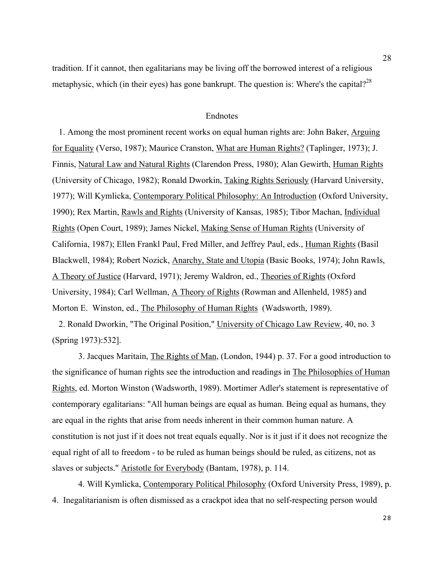tradition. If it cannot, then egalitarians may be living off the borrowed interest of a religious metaphysic, which (in their eyes) has gone bankrupt. The question is: Where's the capital?<sup>28</sup>

## Endnotes

 1. Among the most prominent recent works on equal human rights are: John Baker, Arguing for Equality (Verso, 1987); Maurice Cranston, What are Human Rights? (Taplinger, 1973); J. Finnis, Natural Law and Natural Rights (Clarendon Press, 1980); Alan Gewirth, Human Rights (University of Chicago, 1982); Ronald Dworkin, Taking Rights Seriously (Harvard University, 1977); Will Kymlicka, Contemporary Political Philosophy: An Introduction (Oxford University, 1990); Rex Martin, Rawls and Rights (University of Kansas, 1985); Tibor Machan, Individual Rights (Open Court, 1989); James Nickel, Making Sense of Human Rights (University of California, 1987); Ellen Frankl Paul, Fred Miller, and Jeffrey Paul, eds., Human Rights (Basil Blackwell, 1984); Robert Nozick, Anarchy, State and Utopia (Basic Books, 1974); John Rawls, A Theory of Justice (Harvard, 1971); Jeremy Waldron, ed., Theories of Rights (Oxford University, 1984); Carl Wellman, A Theory of Rights (Rowman and Allenheld, 1985) and Morton E. Winston, ed., The Philosophy of Human Rights (Wadsworth, 1989).

 2. Ronald Dworkin, "The Original Position," University of Chicago Law Review, 40, no. 3 (Spring 1973):532].

3. Jacques Maritain, The Rights of Man, (London, 1944) p. 37. For a good introduction to the significance of human rights see the introduction and readings in The Philosophies of Human Rights, ed. Morton Winston (Wadsworth, 1989). Mortimer Adler's statement is representative of contemporary egalitarians: "All human beings are equal as human. Being equal as humans, they are equal in the rights that arise from needs inherent in their common human nature. A constitution is not just if it does not treat equals equally. Nor is it just if it does not recognize the equal right of all to freedom - to be ruled as human beings should be ruled, as citizens, not as slaves or subjects." Aristotle for Everybody (Bantam, 1978), p. 114.

4. Will Kymlicka, Contemporary Political Philosophy (Oxford University Press, 1989), p. 4. Inegalitarianism is often dismissed as a crackpot idea that no self-respecting person would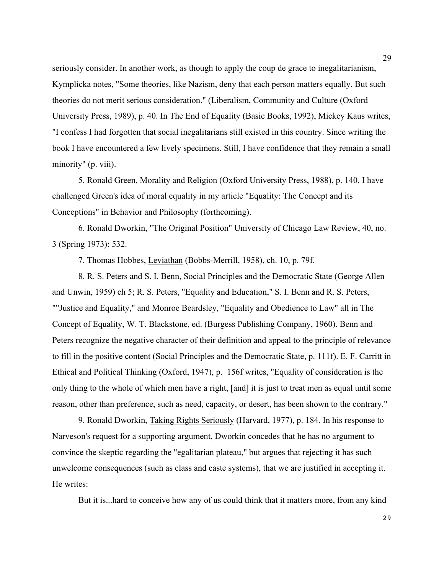seriously consider. In another work, as though to apply the coup de grace to inegalitarianism, Kymplicka notes, "Some theories, like Nazism, deny that each person matters equally. But such theories do not merit serious consideration." (Liberalism, Community and Culture (Oxford University Press, 1989), p. 40. In The End of Equality (Basic Books, 1992), Mickey Kaus writes, "I confess I had forgotten that social inegalitarians still existed in this country. Since writing the book I have encountered a few lively specimens. Still, I have confidence that they remain a small minority" (p. viii).

5. Ronald Green, Morality and Religion (Oxford University Press, 1988), p. 140. I have challenged Green's idea of moral equality in my article "Equality: The Concept and its Conceptions" in Behavior and Philosophy (forthcoming).

6. Ronald Dworkin, "The Original Position" University of Chicago Law Review, 40, no. 3 (Spring 1973): 532.

7. Thomas Hobbes, Leviathan (Bobbs-Merrill, 1958), ch. 10, p. 79f.

8. R. S. Peters and S. I. Benn, Social Principles and the Democratic State (George Allen and Unwin, 1959) ch 5; R. S. Peters, "Equality and Education," S. I. Benn and R. S. Peters, ""Justice and Equality," and Monroe Beardsley, "Equality and Obedience to Law" all in The Concept of Equality, W. T. Blackstone, ed. (Burgess Publishing Company, 1960). Benn and Peters recognize the negative character of their definition and appeal to the principle of relevance to fill in the positive content (Social Principles and the Democratic State, p. 111f). E. F. Carritt in Ethical and Political Thinking (Oxford, 1947), p. 156f writes, "Equality of consideration is the only thing to the whole of which men have a right, [and] it is just to treat men as equal until some reason, other than preference, such as need, capacity, or desert, has been shown to the contrary."

9. Ronald Dworkin, Taking Rights Seriously (Harvard, 1977), p. 184. In his response to Narveson's request for a supporting argument, Dworkin concedes that he has no argument to convince the skeptic regarding the "egalitarian plateau," but argues that rejecting it has such unwelcome consequences (such as class and caste systems), that we are justified in accepting it. He writes:

But it is...hard to conceive how any of us could think that it matters more, from any kind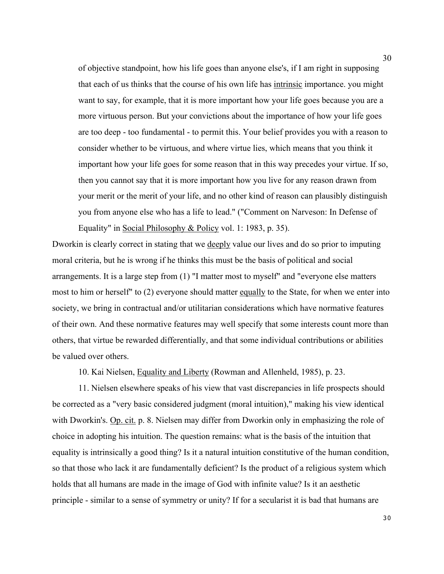of objective standpoint, how his life goes than anyone else's, if I am right in supposing that each of us thinks that the course of his own life has intrinsic importance. you might want to say, for example, that it is more important how your life goes because you are a more virtuous person. But your convictions about the importance of how your life goes are too deep - too fundamental - to permit this. Your belief provides you with a reason to consider whether to be virtuous, and where virtue lies, which means that you think it important how your life goes for some reason that in this way precedes your virtue. If so, then you cannot say that it is more important how you live for any reason drawn from your merit or the merit of your life, and no other kind of reason can plausibly distinguish you from anyone else who has a life to lead." ("Comment on Narveson: In Defense of Equality" in Social Philosophy & Policy vol. 1: 1983, p. 35).

Dworkin is clearly correct in stating that we deeply value our lives and do so prior to imputing moral criteria, but he is wrong if he thinks this must be the basis of political and social arrangements. It is a large step from (1) "I matter most to myself" and "everyone else matters most to him or herself" to (2) everyone should matter equally to the State, for when we enter into society, we bring in contractual and/or utilitarian considerations which have normative features of their own. And these normative features may well specify that some interests count more than others, that virtue be rewarded differentially, and that some individual contributions or abilities be valued over others.

10. Kai Nielsen, Equality and Liberty (Rowman and Allenheld, 1985), p. 23.

11. Nielsen elsewhere speaks of his view that vast discrepancies in life prospects should be corrected as a "very basic considered judgment (moral intuition)," making his view identical with Dworkin's. Op. cit. p. 8. Nielsen may differ from Dworkin only in emphasizing the role of choice in adopting his intuition. The question remains: what is the basis of the intuition that equality is intrinsically a good thing? Is it a natural intuition constitutive of the human condition, so that those who lack it are fundamentally deficient? Is the product of a religious system which holds that all humans are made in the image of God with infinite value? Is it an aesthetic principle - similar to a sense of symmetry or unity? If for a secularist it is bad that humans are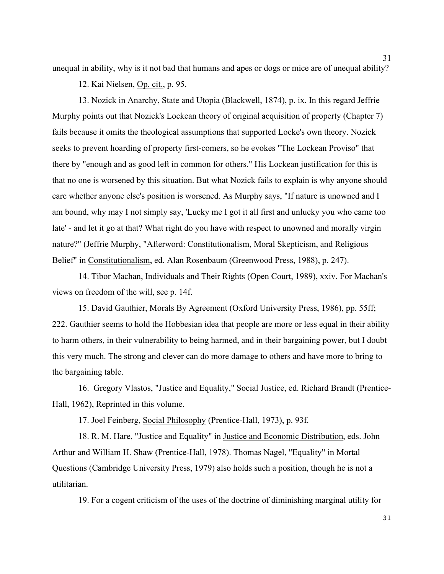unequal in ability, why is it not bad that humans and apes or dogs or mice are of unequal ability?

12. Kai Nielsen, Op. cit., p. 95.

13. Nozick in Anarchy, State and Utopia (Blackwell, 1874), p. ix. In this regard Jeffrie Murphy points out that Nozick's Lockean theory of original acquisition of property (Chapter 7) fails because it omits the theological assumptions that supported Locke's own theory. Nozick seeks to prevent hoarding of property first-comers, so he evokes "The Lockean Proviso" that there by "enough and as good left in common for others." His Lockean justification for this is that no one is worsened by this situation. But what Nozick fails to explain is why anyone should care whether anyone else's position is worsened. As Murphy says, "If nature is unowned and I am bound, why may I not simply say, 'Lucky me I got it all first and unlucky you who came too late' - and let it go at that? What right do you have with respect to unowned and morally virgin nature?" (Jeffrie Murphy, "Afterword: Constitutionalism, Moral Skepticism, and Religious Belief" in Constitutionalism, ed. Alan Rosenbaum (Greenwood Press, 1988), p. 247).

14. Tibor Machan, Individuals and Their Rights (Open Court, 1989), xxiv. For Machan's views on freedom of the will, see p. 14f.

15. David Gauthier, Morals By Agreement (Oxford University Press, 1986), pp. 55ff; 222. Gauthier seems to hold the Hobbesian idea that people are more or less equal in their ability to harm others, in their vulnerability to being harmed, and in their bargaining power, but I doubt this very much. The strong and clever can do more damage to others and have more to bring to the bargaining table.

16. Gregory Vlastos, "Justice and Equality," Social Justice, ed. Richard Brandt (Prentice-Hall, 1962), Reprinted in this volume.

17. Joel Feinberg, Social Philosophy (Prentice-Hall, 1973), p. 93f.

18. R. M. Hare, "Justice and Equality" in Justice and Economic Distribution, eds. John Arthur and William H. Shaw (Prentice-Hall, 1978). Thomas Nagel, "Equality" in Mortal Questions (Cambridge University Press, 1979) also holds such a position, though he is not a utilitarian.

19. For a cogent criticism of the uses of the doctrine of diminishing marginal utility for